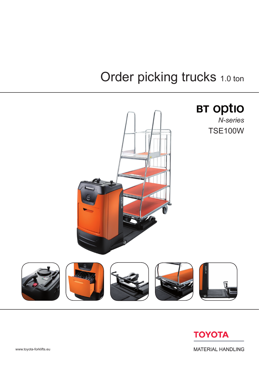## Order picking trucks 1.0 ton





**MATERIAL HANDLING**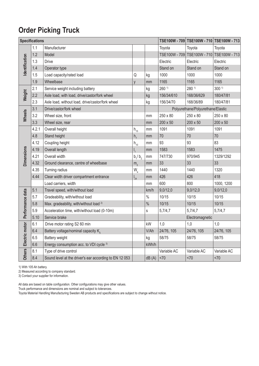## **Order Picking Truck**

| <b>Specifications</b> |       |                                                        |                                               |               |                     |                                   | TSE100W - 709 TSE100W - 710 TSE100W - 713 |
|-----------------------|-------|--------------------------------------------------------|-----------------------------------------------|---------------|---------------------|-----------------------------------|-------------------------------------------|
|                       | 1.1   | Manufacturer                                           |                                               |               | Toyota              | Toyota                            | Toyota                                    |
|                       | 1.2   | Model                                                  |                                               |               | TSE100W - 709       | TSE100W - 710                     | TSE100W - 713                             |
| <b>Identification</b> | 1.3   | Drive                                                  |                                               |               | Electric            | Electric                          | Electric                                  |
|                       | 1.4   | Operator type                                          |                                               |               | Stand on            | Stand on                          | Stand on                                  |
|                       | 1.5   | Load capacity/rated load                               | Q                                             | kg            | 1000                | 1000                              | 1000                                      |
|                       | 1.9   | Wheelbase                                              | y                                             | mm            | 1165                | 1165                              | 1165                                      |
| Weight                | 2.1   | Service weight including battery                       |                                               | kg            | $260$ <sup>1)</sup> | 280 1)                            | 300 <sup>1</sup>                          |
|                       | 2.2   | Axle load, with load, drive/castor/fork wheel          |                                               | kg            | 156/34/610          | 168/36/629                        | 180/47/81                                 |
|                       | 2.3   | Axle load, without load, drive/castor/fork wheel       |                                               | kg            | 156/34/70           | 168/36/89                         | 180/47/81                                 |
|                       | 3.1   | Drive/castor/fork wheel                                |                                               |               |                     | Polyurethane/Polyurethane/Elastic |                                           |
| Wheels                | 3.2   | Wheel size, front                                      |                                               | mm            | 250 x 80            | 250 x 80                          | 250 x 80                                  |
|                       | 3.3   | Wheel size, rear                                       |                                               | mm            | 200 x 50            | 200 x 50                          | 200 x 50                                  |
|                       | 4.2.1 | Overall height                                         | $h_{15}$                                      | mm            | 1091                | 1091                              | 1091                                      |
|                       | 4.8   | Stand height                                           | h <sub>7</sub>                                | mm            | 70                  | 70                                | 70                                        |
|                       | 4.12  | Coupling height                                        | $h_{10}$                                      | mm            | 93                  | 93                                | 83                                        |
| <b>Dimensions</b>     | 4.19  | Overall length                                         | $I_{1}$                                       | mm            | 1583                | 1583                              | 1475                                      |
|                       | 4.21  | Overall width                                          | $b_1/b_2$                                     | mm            | 747/730             | 970/945                           | 1329/1292                                 |
|                       | 4.32  | Ground clearance, centre of wheelbase                  | m <sub>2</sub>                                | mm            | 33                  | 33                                | 33                                        |
|                       | 4.35  | Turning radius                                         | $\mathsf{W}_{\scriptscriptstyle{\mathsf{a}}}$ | mm            | 1440                | 1440                              | 1320                                      |
|                       | 4.44  | Clear width driver compartment entrance                | $\mathsf{I}_{24}$                             | mm            | 426                 | 426                               | 418                                       |
|                       |       | Load carriers, width                                   |                                               | mm            | 600                 | 800                               | 1000, 1200                                |
| Performance data      | 5.1   | Travel speed, with/without load                        |                                               | km/h          | 9,0/12,0            | 9,0/12,0                          | 9,0/12,0                                  |
|                       | 5.7   | Gradeability, with/without load                        |                                               | $\frac{0}{0}$ | 10/15               | 10/15                             | 10/15                                     |
|                       | 5.8   | Max. gradeability, with/without load <sup>2)</sup>     |                                               | $\frac{0}{0}$ | 10/15               | 10/15                             | 10/15                                     |
|                       | 5.9   | Acceleration time, with/without load (0-10m)           |                                               | S             | 5,7/4,7             | 5,7/4,7                           | 5,7/4,7                                   |
|                       | 5.10  | Service brake                                          |                                               |               |                     | Electromagnetic                   |                                           |
|                       | 6.1   | Drive motor rating S2 60 min                           |                                               | kW            | 1,0                 | 1,0                               | 1,0                                       |
| Electric motor        | 6.4   | Battery voltage/nominal capacity K <sub>E</sub>        |                                               | V/Ah          | 24/76, 105          | 24/76, 105                        | 24/76, 105                                |
|                       | 6.5   | Battery weight                                         |                                               | kg            | 58/75               | 58/75                             | 58/75                                     |
|                       | 6.6   | Energy consumption acc. to VDI cycle 3)                |                                               | kWh/h         |                     |                                   |                                           |
| <b>Others</b>         | 8.1   | Type of drive control                                  |                                               |               | Variable AC         | Variable AC                       | Variable AC                               |
|                       | 8.4   | Sound level at the driver's ear according to EN 12 053 |                                               | dB(A)         | <70                 | <70                               | <70                                       |

1) With 105 Ah battery.

2) Measured according to company standard.

3) Contact your supplier for information.

All data are based on table configuration. Other configurations may give other values.

Truck performance and dimensions are nominal and subject to tolerances.

Toyota Material Handling Manufacturing Sweden AB products and specifications are subject to change without notice.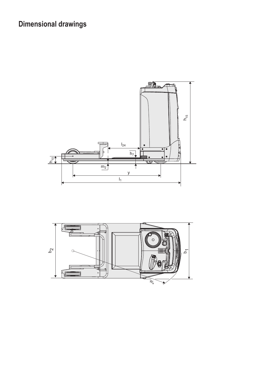## **Dimensional drawings**